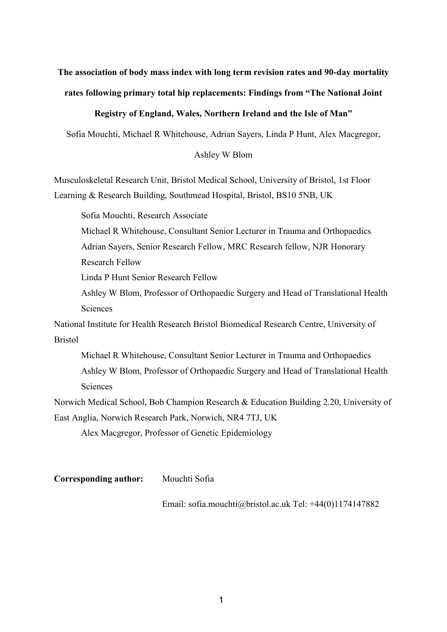# **The association of body mass index with long term revision rates and 90-day mortality rates following primary total hip replacements: Findings from "The National Joint**

# **Registry of England, Wales, Northern Ireland and the Isle of Man"**

Sofia Mouchti, Michael R Whitehouse, Adrian Sayers, Linda P Hunt, Alex Macgregor,

# Ashley W Blom

Musculoskeletal Research Unit, Bristol Medical School, University of Bristol, 1st Floor Learning & Research Building, Southmead Hospital, Bristol, BS10 5NB, UK

Sofia Mouchti, Research Associate

Michael R Whitehouse, Consultant Senior Lecturer in Trauma and Orthopaedics Adrian Sayers, Senior Research Fellow, MRC Research fellow, NJR Honorary Research Fellow

Linda P Hunt Senior Research Fellow

Ashley W Blom, Professor of Orthopaedic Surgery and Head of Translational Health **Sciences** 

National Institute for Health Research Bristol Biomedical Research Centre, University of Bristol

Michael R Whitehouse, Consultant Senior Lecturer in Trauma and Orthopaedics Ashley W Blom, Professor of Orthopaedic Surgery and Head of Translational Health **Sciences** 

Norwich Medical School, Bob Champion Research & Education Building 2.20, University of East Anglia, Norwich Research Park, Norwich, NR4 7TJ, UK

Alex Macgregor, Professor of Genetic Epidemiology

**Corresponding author:** Mouchti Sofia

Em[ail: sofia.mouchti@bristol.ac.uk](mailto:sofia.mouchti@bristol.ac.uk) Tel: +44(0)1174147882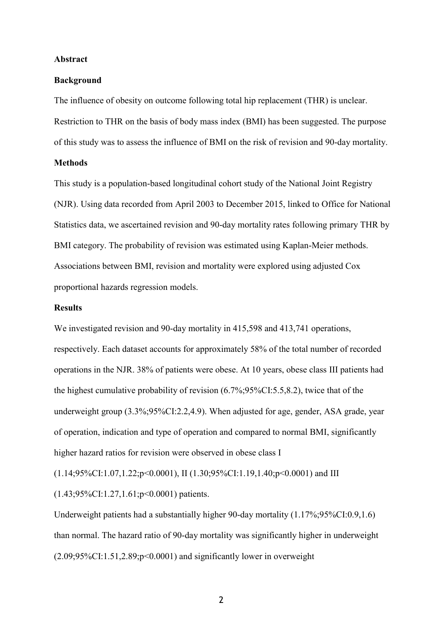#### **Abstract**

#### **Background**

The influence of obesity on outcome following total hip replacement (THR) is unclear. Restriction to THR on the basis of body mass index (BMI) has been suggested. The purpose of this study was to assess the influence of BMI on the risk of revision and 90-day mortality.

# **Methods**

This study is a population-based longitudinal cohort study of the National Joint Registry (NJR). Using data recorded from April 2003 to December 2015, linked to Office for National Statistics data, we ascertained revision and 90-day mortality rates following primary THR by BMI category. The probability of revision was estimated using Kaplan-Meier methods. Associations between BMI, revision and mortality were explored using adjusted Cox proportional hazards regression models.

#### **Results**

We investigated revision and 90-day mortality in 415,598 and 413,741 operations, respectively. Each dataset accounts for approximately 58% of the total number of recorded operations in the NJR. 38% of patients were obese. At 10 years, obese class III patients had the highest cumulative probability of revision (6.7%;95%CI:5.5,8.2), twice that of the underweight group (3.3%;95%CI:2.2,4.9). When adjusted for age, gender, ASA grade, year of operation, indication and type of operation and compared to normal BMI, significantly higher hazard ratios for revision were observed in obese class I

(1.14;95%CI:1.07,1.22;p<0.0001), II (1.30;95%CI:1.19,1.40;p<0.0001) and III

(1.43;95%CI:1.27,1.61;p<0.0001) patients.

Underweight patients had a substantially higher 90-day mortality (1.17%;95%CI:0.9,1.6) than normal. The hazard ratio of 90-day mortality was significantly higher in underweight  $(2.09;95\%CI:1.51,2.89; p<0.0001)$  and significantly lower in overweight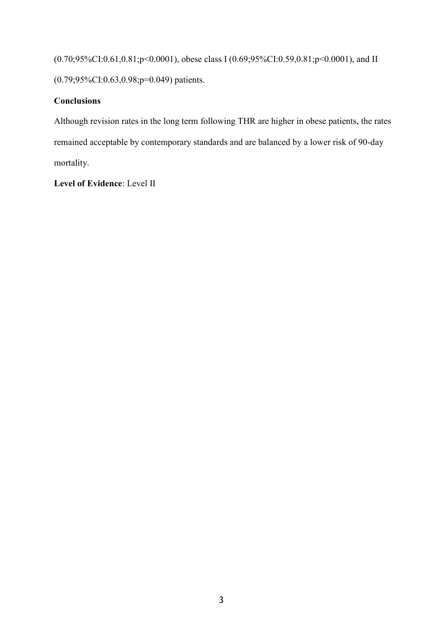(0.70;95%CI:0.61,0.81;p<0.0001), obese class I (0.69;95%CI:0.59,0.81;p<0.0001), and II (0.79;95%CI:0.63,0.98;p=0.049) patients.

# **Conclusions**

Although revision rates in the long term following THR are higher in obese patients, the rates remained acceptable by contemporary standards and are balanced by a lower risk of 90-day mortality.

**Level of Evidence**: Level II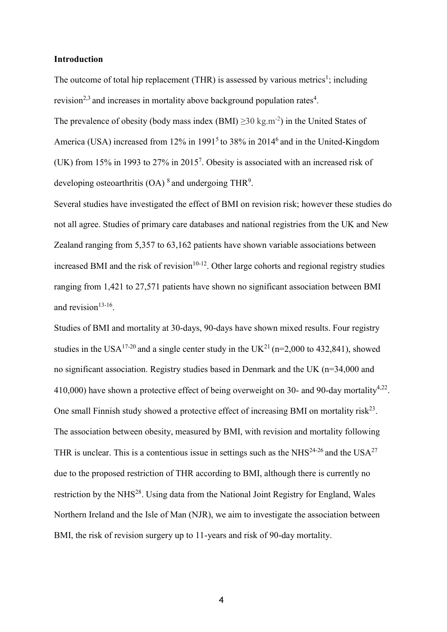#### **Introduction**

The outcome of total hip replacement (THR) is assessed by various metrics<sup>1</sup>; including revision<sup>2,3</sup> and increases in mortality above background population rates<sup>4</sup>.

The prevalence of obesity (body mass index  $(BMI) \ge 30 \text{ kg.m}^{-2}$ ) in the United States of America (USA) increased from  $12\%$  in  $1991<sup>5</sup>$  to 38% in 2014<sup>6</sup> and in the United-Kingdom (UK) from 15% in 1993 to 27% in 2015<sup>7</sup> . Obesity is associated with an increased risk of developing osteoarthritis (OA)<sup>8</sup> and undergoing THR<sup>9</sup>.

Several studies have investigated the effect of BMI on revision risk; however these studies do not all agree. Studies of primary care databases and national registries from the UK and New Zealand ranging from 5,357 to 63,162 patients have shown variable associations between increased BMI and the risk of revision $10^{-12}$ . Other large cohorts and regional registry studies ranging from 1,421 to 27,571 patients have shown no significant association between BMI and revision $13-16$ .

Studies of BMI and mortality at 30-days, 90-days have shown mixed results. Four registry studies in the USA<sup>17-20</sup> and a single center study in the UK<sup>21</sup> (n=2,000 to 432,841), showed no significant association. Registry studies based in Denmark and the UK (n=34,000 and 410,000) have shown a protective effect of being overweight on 30- and 90-day mortality<sup>4,22</sup>. One small Finnish study showed a protective effect of increasing BMI on mortality risk<sup>23</sup>. The association between obesity, measured by BMI, with revision and mortality following THR is unclear. This is a contentious issue in settings such as the NHS<sup>24-26</sup> and the USA<sup>27</sup> due to the proposed restriction of THR according to BMI, although there is currently no restriction by the NHS<sup>28</sup>. Using data from the National Joint Registry for England, Wales Northern Ireland and the Isle of Man (NJR), we aim to investigate the association between BMI, the risk of revision surgery up to 11-years and risk of 90-day mortality.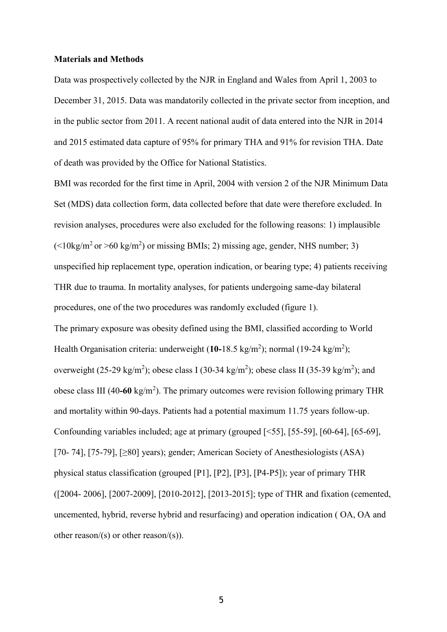#### **Materials and Methods**

Data was prospectively collected by the NJR in England and Wales from April 1, 2003 to December 31, 2015. Data was mandatorily collected in the private sector from inception, and in the public sector from 2011. A recent national audit of data entered into the NJR in 2014 and 2015 estimated data capture of 95% for primary THA and 91% for revision THA. Date of death was provided by the Office for National Statistics.

BMI was recorded for the first time in April, 2004 with version 2 of the NJR Minimum Data Set (MDS) data collection form, data collected before that date were therefore excluded. In revision analyses, procedures were also excluded for the following reasons: 1) implausible  $($  <10kg/m<sup>2</sup> or >60 kg/m<sup>2</sup>) or missing BMIs; 2) missing age, gender, NHS number; 3) unspecified hip replacement type, operation indication, or bearing type; 4) patients receiving THR due to trauma. In mortality analyses, for patients undergoing same-day bilateral procedures, one of the two procedures was randomly excluded (figure 1). The primary exposure was obesity defined using the BMI, classified according to World Health Organisation criteria: underweight (10-18.5 kg/m<sup>2</sup>); normal (19-24 kg/m<sup>2</sup>); overweight (25-29 kg/m<sup>2</sup>); obese class I (30-34 kg/m<sup>2</sup>); obese class II (35-39 kg/m<sup>2</sup>); and obese class III (40-60 kg/m<sup>2</sup>). The primary outcomes were revision following primary THR and mortality within 90-days. Patients had a potential maximum 11.75 years follow-up. Confounding variables included; age at primary (grouped [<55], [55-59], [60-64], [65-69], [70- 74], [75-79], [≥80] years); gender; American Society of Anesthesiologists (ASA) physical status classification (grouped [P1], [P2], [P3], [P4-P5]); year of primary THR ([2004- 2006], [2007-2009], [2010-2012], [2013-2015]; type of THR and fixation (cemented, uncemented, hybrid, reverse hybrid and resurfacing) and operation indication ( OA, OA and other reason/(s) or other reason/(s)).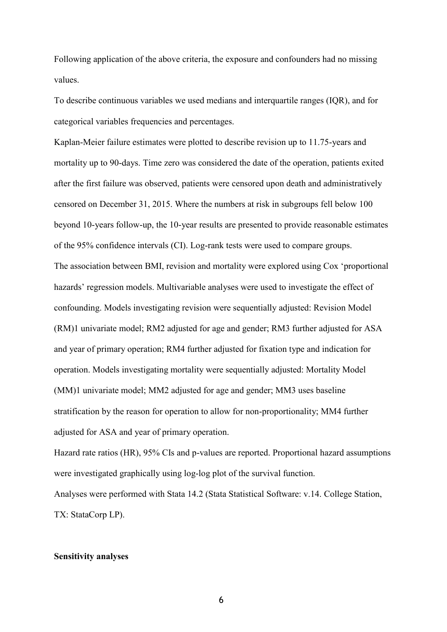Following application of the above criteria, the exposure and confounders had no missing values.

To describe continuous variables we used medians and interquartile ranges (IQR), and for categorical variables frequencies and percentages.

Kaplan-Meier failure estimates were plotted to describe revision up to 11.75-years and mortality up to 90-days. Time zero was considered the date of the operation, patients exited after the first failure was observed, patients were censored upon death and administratively censored on December 31, 2015. Where the numbers at risk in subgroups fell below 100 beyond 10-years follow-up, the 10-year results are presented to provide reasonable estimates of the 95% confidence intervals (CI). Log-rank tests were used to compare groups. The association between BMI, revision and mortality were explored using Cox 'proportional hazards' regression models. Multivariable analyses were used to investigate the effect of confounding. Models investigating revision were sequentially adjusted: Revision Model (RM)1 univariate model; RM2 adjusted for age and gender; RM3 further adjusted for ASA and year of primary operation; RM4 further adjusted for fixation type and indication for operation. Models investigating mortality were sequentially adjusted: Mortality Model (MM)1 univariate model; MM2 adjusted for age and gender; MM3 uses baseline stratification by the reason for operation to allow for non-proportionality; MM4 further adjusted for ASA and year of primary operation.

Hazard rate ratios (HR), 95% CIs and p-values are reported. Proportional hazard assumptions were investigated graphically using log-log plot of the survival function. Analyses were performed with Stata 14.2 (Stata Statistical Software: v.14. College Station, TX: StataCorp LP).

## **Sensitivity analyses**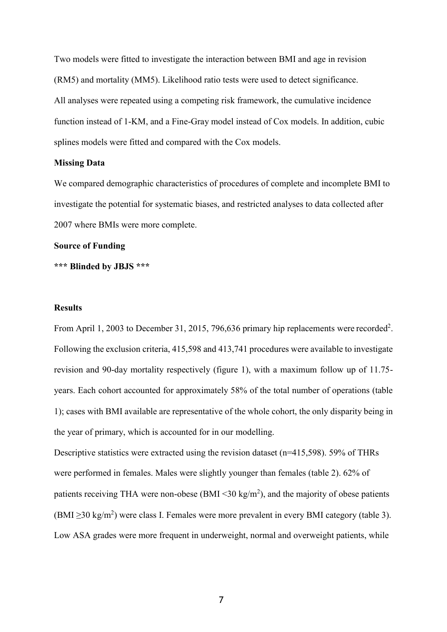Two models were fitted to investigate the interaction between BMI and age in revision (RM5) and mortality (MM5). Likelihood ratio tests were used to detect significance. All analyses were repeated using a competing risk framework, the cumulative incidence function instead of 1-KM, and a Fine-Gray model instead of Cox models. In addition, cubic splines models were fitted and compared with the Cox models.

# **Missing Data**

We compared demographic characteristics of procedures of complete and incomplete BMI to investigate the potential for systematic biases, and restricted analyses to data collected after 2007 where BMIs were more complete.

# **Source of Funding**

**\*\*\* Blinded by JBJS \*\*\***

## **Results**

From April 1, 2003 to December 31, 2015, 796,636 primary hip replacements were recorded<sup>2</sup>. Following the exclusion criteria, 415,598 and 413,741 procedures were available to investigate revision and 90-day mortality respectively (figure 1), with a maximum follow up of 11.75 years. Each cohort accounted for approximately 58% of the total number of operations (table 1); cases with BMI available are representative of the whole cohort, the only disparity being in the year of primary, which is accounted for in our modelling.

Descriptive statistics were extracted using the revision dataset (n=415,598). 59% of THRs were performed in females. Males were slightly younger than females (table 2). 62% of patients receiving THA were non-obese (BMI $\leq$ 30 kg/m<sup>2</sup>), and the majority of obese patients  $(BMI \geq 30 \text{ kg/m}^2)$  were class I. Females were more prevalent in every BMI category (table 3). Low ASA grades were more frequent in underweight, normal and overweight patients, while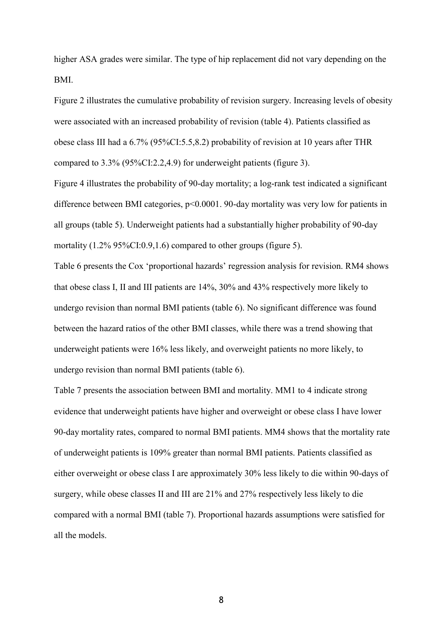higher ASA grades were similar. The type of hip replacement did not vary depending on the BMI.

Figure 2 illustrates the cumulative probability of revision surgery. Increasing levels of obesity were associated with an increased probability of revision (table 4). Patients classified as obese class III had a 6.7% (95%CI:5.5,8.2) probability of revision at 10 years after THR compared to 3.3% (95%CI:2.2,4.9) for underweight patients (figure 3).

Figure 4 illustrates the probability of 90-day mortality; a log-rank test indicated a significant difference between BMI categories, p<0.0001. 90-day mortality was very low for patients in all groups (table 5). Underweight patients had a substantially higher probability of 90-day mortality (1.2% 95%CI:0.9,1.6) compared to other groups (figure 5).

Table 6 presents the Cox 'proportional hazards' regression analysis for revision. RM4 shows that obese class I, II and III patients are 14%, 30% and 43% respectively more likely to undergo revision than normal BMI patients (table 6). No significant difference was found between the hazard ratios of the other BMI classes, while there was a trend showing that underweight patients were 16% less likely, and overweight patients no more likely, to undergo revision than normal BMI patients (table 6).

Table 7 presents the association between BMI and mortality. MM1 to 4 indicate strong evidence that underweight patients have higher and overweight or obese class I have lower 90-day mortality rates, compared to normal BMI patients. MM4 shows that the mortality rate of underweight patients is 109% greater than normal BMI patients. Patients classified as either overweight or obese class I are approximately 30% less likely to die within 90-days of surgery, while obese classes II and III are 21% and 27% respectively less likely to die compared with a normal BMI (table 7). Proportional hazards assumptions were satisfied for all the models.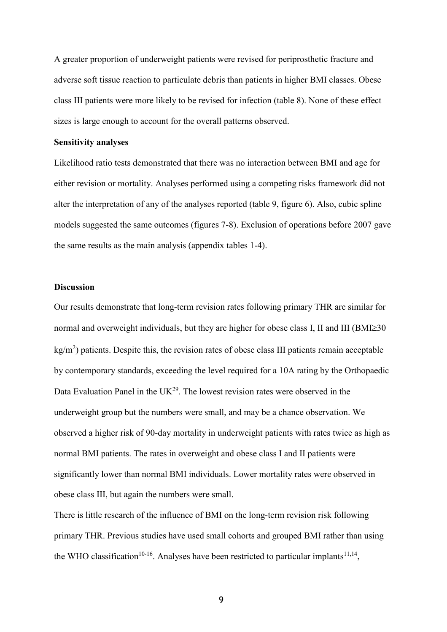A greater proportion of underweight patients were revised for periprosthetic fracture and adverse soft tissue reaction to particulate debris than patients in higher BMI classes. Obese class III patients were more likely to be revised for infection (table 8). None of these effect sizes is large enough to account for the overall patterns observed.

#### **Sensitivity analyses**

Likelihood ratio tests demonstrated that there was no interaction between BMI and age for either revision or mortality. Analyses performed using a competing risks framework did not alter the interpretation of any of the analyses reported (table 9, figure 6). Also, cubic spline models suggested the same outcomes (figures 7-8). Exclusion of operations before 2007 gave the same results as the main analysis (appendix tables 1-4).

# **Discussion**

Our results demonstrate that long-term revision rates following primary THR are similar for normal and overweight individuals, but they are higher for obese class I, II and III ( $BMI \geq 30$  $\text{kg/m}^2$ ) patients. Despite this, the revision rates of obese class III patients remain acceptable by contemporary standards, exceeding the level required for a 10A rating by the Orthopaedic Data Evaluation Panel in the  $UK^{29}$ . The lowest revision rates were observed in the underweight group but the numbers were small, and may be a chance observation. We observed a higher risk of 90-day mortality in underweight patients with rates twice as high as normal BMI patients. The rates in overweight and obese class I and II patients were significantly lower than normal BMI individuals. Lower mortality rates were observed in obese class III, but again the numbers were small.

There is little research of the influence of BMI on the long-term revision risk following primary THR. Previous studies have used small cohorts and grouped BMI rather than using the WHO classification<sup>10-16</sup>. Analyses have been restricted to particular implants<sup>11,14</sup>,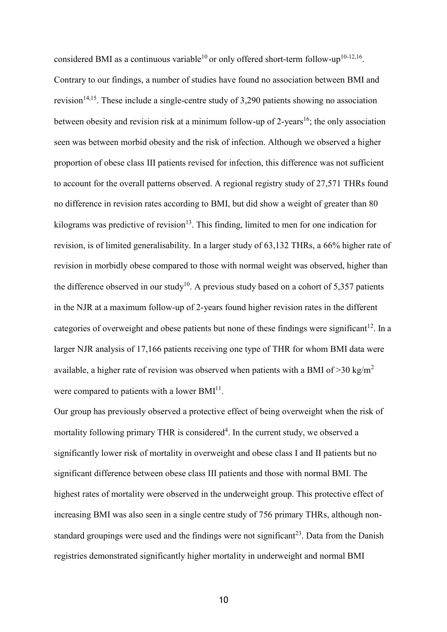considered BMI as a continuous variable<sup>10</sup> or only offered short-term follow-up<sup>10-12,16</sup>. Contrary to our findings, a number of studies have found no association between BMI and revision<sup>14,15</sup>. These include a single-centre study of 3,290 patients showing no association between obesity and revision risk at a minimum follow-up of 2-years<sup>16</sup>; the only association seen was between morbid obesity and the risk of infection. Although we observed a higher proportion of obese class III patients revised for infection, this difference was not sufficient to account for the overall patterns observed. A regional registry study of 27,571 THRs found no difference in revision rates according to BMI, but did show a weight of greater than 80 kilograms was predictive of revision<sup>13</sup>. This finding, limited to men for one indication for revision, is of limited generalisability. In a larger study of 63,132 THRs, a 66% higher rate of revision in morbidly obese compared to those with normal weight was observed, higher than the difference observed in our study<sup>10</sup>. A previous study based on a cohort of 5,357 patients in the NJR at a maximum follow-up of 2-years found higher revision rates in the different categories of overweight and obese patients but none of these findings were significant<sup>12</sup>. In a larger NJR analysis of 17,166 patients receiving one type of THR for whom BMI data were available, a higher rate of revision was observed when patients with a BMI of  $>$ 30 kg/m<sup>2</sup> were compared to patients with a lower  $BMI<sup>11</sup>$ .

Our group has previously observed a protective effect of being overweight when the risk of mortality following primary THR is considered<sup>4</sup>. In the current study, we observed a significantly lower risk of mortality in overweight and obese class I and II patients but no significant difference between obese class III patients and those with normal BMI. The highest rates of mortality were observed in the underweight group. This protective effect of increasing BMI was also seen in a single centre study of 756 primary THRs, although nonstandard groupings were used and the findings were not significant<sup>23</sup>. Data from the Danish registries demonstrated significantly higher mortality in underweight and normal BMI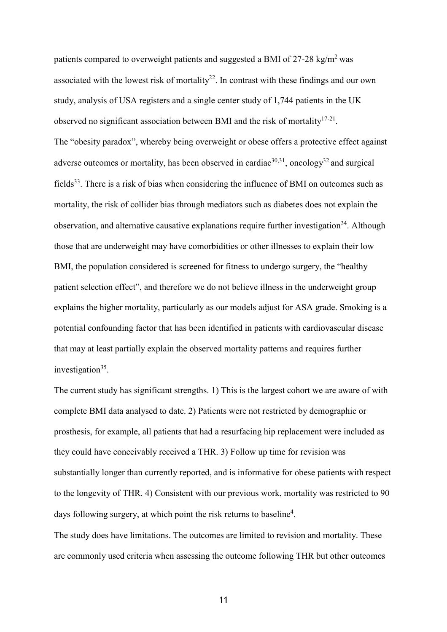patients compared to overweight patients and suggested a BMI of  $27-28 \text{ kg/m}^2$  was associated with the lowest risk of mortality<sup>22</sup>. In contrast with these findings and our own study, analysis of USA registers and a single center study of 1,744 patients in the UK observed no significant association between BMI and the risk of mortality  $17-21$ . The "obesity paradox", whereby being overweight or obese offers a protective effect against adverse outcomes or mortality, has been observed in cardiac<sup>30,31</sup>, oncology<sup>32</sup> and surgical fields<sup>33</sup>. There is a risk of bias when considering the influence of BMI on outcomes such as mortality, the risk of collider bias through mediators such as diabetes does not explain the observation, and alternative causative explanations require further investigation<sup>34</sup>. Although those that are underweight may have comorbidities or other illnesses to explain their low BMI, the population considered is screened for fitness to undergo surgery, the "healthy patient selection effect", and therefore we do not believe illness in the underweight group explains the higher mortality, particularly as our models adjust for ASA grade. Smoking is a potential confounding factor that has been identified in patients with cardiovascular disease that may at least partially explain the observed mortality patterns and requires further investigation<sup>35</sup>.

The current study has significant strengths. 1) This is the largest cohort we are aware of with complete BMI data analysed to date. 2) Patients were not restricted by demographic or prosthesis, for example, all patients that had a resurfacing hip replacement were included as they could have conceivably received a THR. 3) Follow up time for revision was substantially longer than currently reported, and is informative for obese patients with respect to the longevity of THR. 4) Consistent with our previous work, mortality was restricted to 90 days following surgery, at which point the risk returns to baseline<sup>4</sup>.

The study does have limitations. The outcomes are limited to revision and mortality. These are commonly used criteria when assessing the outcome following THR but other outcomes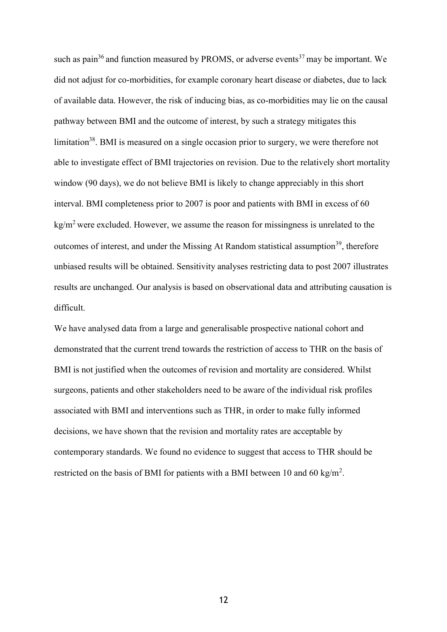such as pain<sup>36</sup> and function measured by PROMS, or adverse events<sup>37</sup> may be important. We did not adjust for co-morbidities, for example coronary heart disease or diabetes, due to lack of available data. However, the risk of inducing bias, as co-morbidities may lie on the causal pathway between BMI and the outcome of interest, by such a strategy mitigates this limitation<sup>38</sup>. BMI is measured on a single occasion prior to surgery, we were therefore not able to investigate effect of BMI trajectories on revision. Due to the relatively short mortality window (90 days), we do not believe BMI is likely to change appreciably in this short interval. BMI completeness prior to 2007 is poor and patients with BMI in excess of 60  $kg/m<sup>2</sup>$  were excluded. However, we assume the reason for missingness is unrelated to the outcomes of interest, and under the Missing At Random statistical assumption<sup>39</sup>, therefore unbiased results will be obtained. Sensitivity analyses restricting data to post 2007 illustrates results are unchanged. Our analysis is based on observational data and attributing causation is difficult.

We have analysed data from a large and generalisable prospective national cohort and demonstrated that the current trend towards the restriction of access to THR on the basis of BMI is not justified when the outcomes of revision and mortality are considered. Whilst surgeons, patients and other stakeholders need to be aware of the individual risk profiles associated with BMI and interventions such as THR, in order to make fully informed decisions, we have shown that the revision and mortality rates are acceptable by contemporary standards. We found no evidence to suggest that access to THR should be restricted on the basis of BMI for patients with a BMI between 10 and 60 kg/m<sup>2</sup>.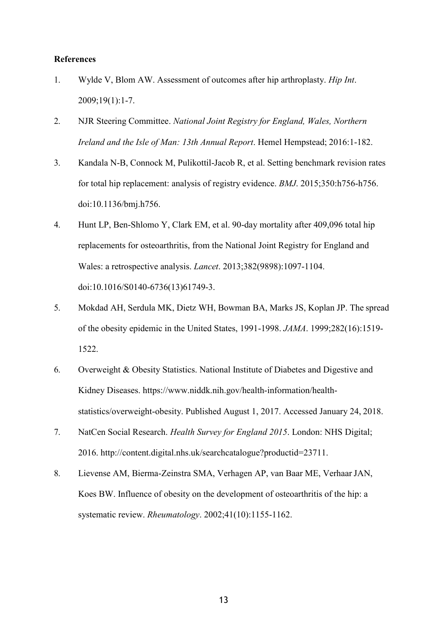#### **References**

- 1. Wylde V, Blom AW. Assessment of outcomes after hip arthroplasty. *Hip Int*. 2009;19(1):1-7.
- 2. NJR Steering Committee. *National Joint Registry for England, Wales, Northern Ireland and the Isle of Man: 13th Annual Report*. Hemel Hempstead; 2016:1-182.
- 3. Kandala N-B, Connock M, Pulikottil-Jacob R, et al. Setting benchmark revision rates for total hip replacement: analysis of registry evidence. *BMJ*. 2015;350:h756-h756. doi:10.1136/bmj.h756.
- 4. Hunt LP, Ben-Shlomo Y, Clark EM, et al. 90-day mortality after 409,096 total hip replacements for osteoarthritis, from the National Joint Registry for England and Wales: a retrospective analysis. *Lancet*. 2013;382(9898):1097-1104. doi:10.1016/S0140-6736(13)61749-3.
- 5. Mokdad AH, Serdula MK, Dietz WH, Bowman BA, Marks JS, Koplan JP. The spread of the obesity epidemic in the United States, 1991-1998. *JAMA*. 1999;282(16):1519- 1522.
- 6. Overweight & Obesity Statistics. National Institute of Diabetes and Digestive and Kidney Diseases. ht[tps://www.niddk.nih.gov/health-information/health](http://www.niddk.nih.gov/health-information/health-)statistics/overweight-obesity. Published August 1, 2017. Accessed January 24, 2018.
- 7. NatCen Social Research. *Health Survey for England 2015*. London: NHS Digital; 2016. [http://content.digital.nhs.uk/searchcatalogue?productid=23711.](http://content.digital.nhs.uk/searchcatalogue?productid=23711)
- 8. Lievense AM, Bierma-Zeinstra SMA, Verhagen AP, van Baar ME, Verhaar JAN, Koes BW. Influence of obesity on the development of osteoarthritis of the hip: a systematic review. *Rheumatology*. 2002;41(10):1155-1162.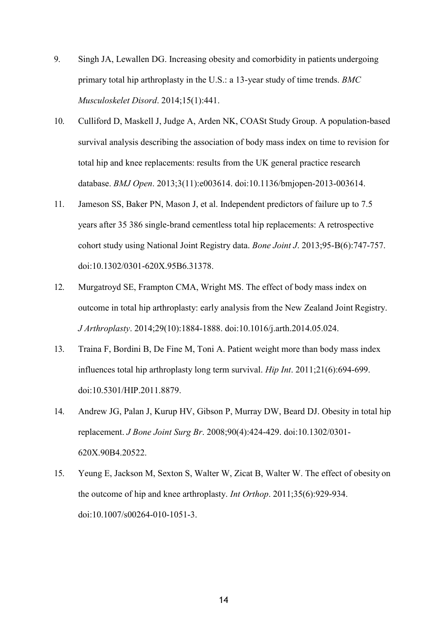- 9. Singh JA, Lewallen DG. Increasing obesity and comorbidity in patients undergoing primary total hip arthroplasty in the U.S.: a 13-year study of time trends. *BMC Musculoskelet Disord*. 2014;15(1):441.
- 10. Culliford D, Maskell J, Judge A, Arden NK, COASt Study Group. A population-based survival analysis describing the association of body mass index on time to revision for total hip and knee replacements: results from the UK general practice research database. *BMJ Open*. 2013;3(11):e003614. doi:10.1136/bmjopen-2013-003614.
- 11. Jameson SS, Baker PN, Mason J, et al. Independent predictors of failure up to 7.5 years after 35 386 single-brand cementless total hip replacements: A retrospective cohort study using National Joint Registry data. *Bone Joint J*. 2013;95-B(6):747-757. doi:10.1302/0301-620X.95B6.31378.
- 12. Murgatroyd SE, Frampton CMA, Wright MS. The effect of body mass index on outcome in total hip arthroplasty: early analysis from the New Zealand Joint Registry. *J Arthroplasty*. 2014;29(10):1884-1888. doi:10.1016/j.arth.2014.05.024.
- 13. Traina F, Bordini B, De Fine M, Toni A. Patient weight more than body mass index influences total hip arthroplasty long term survival. *Hip Int*. 2011;21(6):694-699. doi:10.5301/HIP.2011.8879.
- 14. Andrew JG, Palan J, Kurup HV, Gibson P, Murray DW, Beard DJ. Obesity in total hip replacement. *J Bone Joint Surg Br*. 2008;90(4):424-429. doi:10.1302/0301- 620X.90B4.20522.
- 15. Yeung E, Jackson M, Sexton S, Walter W, Zicat B, Walter W. The effect of obesity on the outcome of hip and knee arthroplasty. *Int Orthop*. 2011;35(6):929-934. doi:10.1007/s00264-010-1051-3.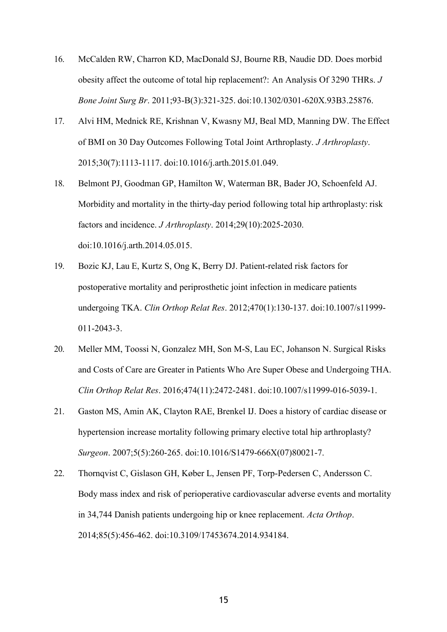- 16. McCalden RW, Charron KD, MacDonald SJ, Bourne RB, Naudie DD. Does morbid obesity affect the outcome of total hip replacement?: An Analysis Of 3290 THRs. *J Bone Joint Surg Br*. 2011;93-B(3):321-325. doi:10.1302/0301-620X.93B3.25876.
- 17. Alvi HM, Mednick RE, Krishnan V, Kwasny MJ, Beal MD, Manning DW. The Effect of BMI on 30 Day Outcomes Following Total Joint Arthroplasty. *J Arthroplasty*. 2015;30(7):1113-1117. doi:10.1016/j.arth.2015.01.049.
- 18. Belmont PJ, Goodman GP, Hamilton W, Waterman BR, Bader JO, Schoenfeld AJ. Morbidity and mortality in the thirty-day period following total hip arthroplasty: risk factors and incidence. *J Arthroplasty*. 2014;29(10):2025-2030. doi:10.1016/j.arth.2014.05.015.
- 19. Bozic KJ, Lau E, Kurtz S, Ong K, Berry DJ. Patient-related risk factors for postoperative mortality and periprosthetic joint infection in medicare patients undergoing TKA. *Clin Orthop Relat Res*. 2012;470(1):130-137. doi:10.1007/s11999- 011-2043-3.
- 20. Meller MM, Toossi N, Gonzalez MH, Son M-S, Lau EC, Johanson N. Surgical Risks and Costs of Care are Greater in Patients Who Are Super Obese and Undergoing THA. *Clin Orthop Relat Res*. 2016;474(11):2472-2481. doi:10.1007/s11999-016-5039-1.
- 21. Gaston MS, Amin AK, Clayton RAE, Brenkel IJ. Does a history of cardiac disease or hypertension increase mortality following primary elective total hip arthroplasty? *Surgeon*. 2007;5(5):260-265. doi:10.1016/S1479-666X(07)80021-7.
- 22. Thornqvist C, Gislason GH, Køber L, Jensen PF, Torp-Pedersen C, Andersson C. Body mass index and risk of perioperative cardiovascular adverse events and mortality in 34,744 Danish patients undergoing hip or knee replacement. *Acta Orthop*. 2014;85(5):456-462. doi:10.3109/17453674.2014.934184.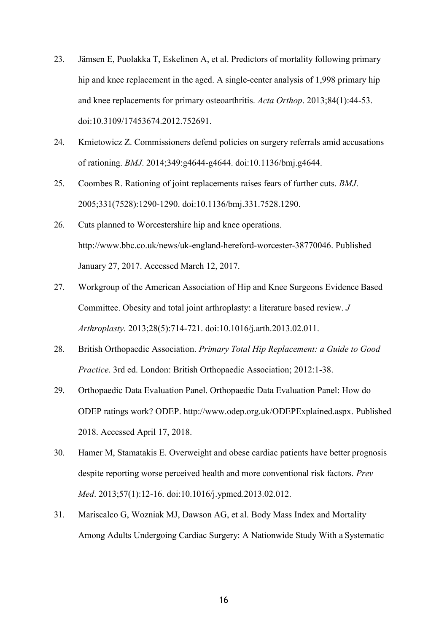- 23. Jämsen E, Puolakka T, Eskelinen A, et al. Predictors of mortality following primary hip and knee replacement in the aged. A single-center analysis of 1,998 primary hip and knee replacements for primary osteoarthritis. *Acta Orthop*. 2013;84(1):44-53. doi:10.3109/17453674.2012.752691.
- 24. Kmietowicz Z. Commissioners defend policies on surgery referrals amid accusations of rationing. *BMJ*. 2014;349:g4644-g4644. doi:10.1136/bmj.g4644.
- 25. Coombes R. Rationing of joint replacements raises fears of further cuts. *BMJ*. 2005;331(7528):1290-1290. doi:10.1136/bmj.331.7528.1290.
- 26. Cuts planned to Worcestershire hip and knee operations. [http://www.bbc.co.uk/news/uk-england-hereford-worcester-38770046.](http://www.bbc.co.uk/news/uk-england-hereford-worcester-38770046) Published January 27, 2017. Accessed March 12, 2017.
- 27. Workgroup of the American Association of Hip and Knee Surgeons Evidence Based Committee. Obesity and total joint arthroplasty: a literature based review. *J Arthroplasty*. 2013;28(5):714-721. doi:10.1016/j.arth.2013.02.011.
- 28. British Orthopaedic Association. *Primary Total Hip Replacement: a Guide to Good Practice*. 3rd ed. London: British Orthopaedic Association; 2012:1-38.
- 29. Orthopaedic Data Evaluation Panel. Orthopaedic Data Evaluation Panel: How do ODEP ratings work? ODE[P. http://www.odep.org.uk/ODEPExplained.aspx.](http://www.odep.org.uk/ODEPExplained.aspx) Published 2018. Accessed April 17, 2018.
- 30. Hamer M, Stamatakis E. Overweight and obese cardiac patients have better prognosis despite reporting worse perceived health and more conventional risk factors. *Prev Med*. 2013;57(1):12-16. doi:10.1016/j.ypmed.2013.02.012.
- 31. Mariscalco G, Wozniak MJ, Dawson AG, et al. Body Mass Index and Mortality Among Adults Undergoing Cardiac Surgery: A Nationwide Study With a Systematic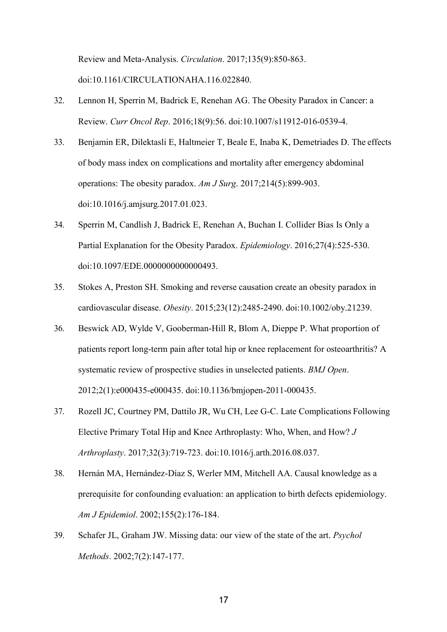Review and Meta-Analysis. *Circulation*. 2017;135(9):850-863. doi:10.1161/CIRCULATIONAHA.116.022840.

- 32. Lennon H, Sperrin M, Badrick E, Renehan AG. The Obesity Paradox in Cancer: a Review. *Curr Oncol Rep*. 2016;18(9):56. doi:10.1007/s11912-016-0539-4.
- 33. Benjamin ER, Dilektasli E, Haltmeier T, Beale E, Inaba K, Demetriades D. The effects of body mass index on complications and mortality after emergency abdominal operations: The obesity paradox. *Am J Surg*. 2017;214(5):899-903. doi:10.1016/j.amjsurg.2017.01.023.
- 34. Sperrin M, Candlish J, Badrick E, Renehan A, Buchan I. Collider Bias Is Only a Partial Explanation for the Obesity Paradox. *Epidemiology*. 2016;27(4):525-530. doi:10.1097/EDE.0000000000000493.
- 35. Stokes A, Preston SH. Smoking and reverse causation create an obesity paradox in cardiovascular disease. *Obesity*. 2015;23(12):2485-2490. doi:10.1002/oby.21239.
- 36. Beswick AD, Wylde V, Gooberman-Hill R, Blom A, Dieppe P. What proportion of patients report long-term pain after total hip or knee replacement for osteoarthritis? A systematic review of prospective studies in unselected patients. *BMJ Open*. 2012;2(1):e000435-e000435. doi:10.1136/bmjopen-2011-000435.
- 37. Rozell JC, Courtney PM, Dattilo JR, Wu CH, Lee G-C. Late Complications Following Elective Primary Total Hip and Knee Arthroplasty: Who, When, and How? *J Arthroplasty*. 2017;32(3):719-723. doi:10.1016/j.arth.2016.08.037.
- 38. Hernán MA, Hernández-Díaz S, Werler MM, Mitchell AA. Causal knowledge as a prerequisite for confounding evaluation: an application to birth defects epidemiology. *Am J Epidemiol*. 2002;155(2):176-184.
- 39. Schafer JL, Graham JW. Missing data: our view of the state of the art. *Psychol Methods*. 2002;7(2):147-177.